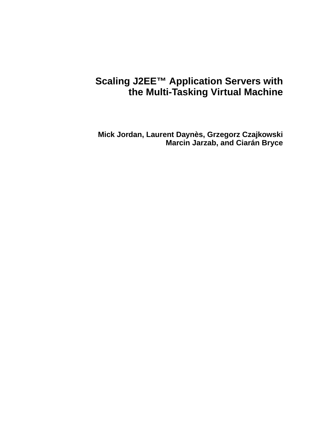# **Scaling J2EE™ Application Servers with the Multi-Tasking Virtual Machine**

**Mick Jordan, Laurent Daynès, Grzegorz Czajkowski Marcin Jarzab, and Ciarán Bryce**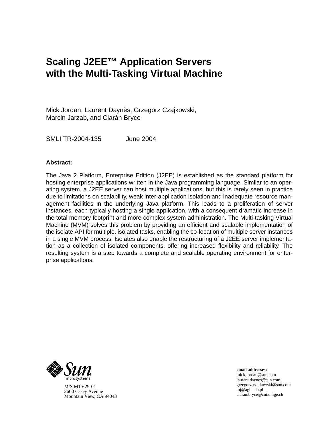# **Scaling J2EE™ Application Servers with the Multi-Tasking Virtual Machine**

Mick Jordan, Laurent Daynès, Grzegorz Czajkowski, Marcin Jarzab, and Ciarán Bryce

SMLI TR-2004-135 June 2004

### **Abstract:**

The Java 2 Platform, Enterprise Edition (J2EE) is established as the standard platform for hosting enterprise applications written in the Java programming language. Similar to an operating system, a J2EE server can host multiple applications, but this is rarely seen in practice due to limitations on scalability, weak inter-application isolation and inadequate resource management facilities in the underlying Java platform. This leads to a proliferation of server instances, each typically hosting a single application, with a consequent dramatic increase in the total memory footprint and more complex system administration. The Multi-tasking Virtual Machine (MVM) solves this problem by providing an efficient and scalable implementation of the isolate API for multiple, isolated tasks, enabling the co-location of multiple server instances in a single MVM process. Isolates also enable the restructuring of a J2EE server implementation as a collection of isolated components, offering increased flexibility and reliability. The resulting system is a step towards a complete and scalable operating environment for enterprise applications.



M/S MTV29-01 2600 Casey Avenue Mountain View, CA 94043 **email addresses:**

mick.jordan@sun.com laurent.daynès@sun.com grzegorz.czajkowski@sun.com mj@agh.edu.pl ciaran.bryce@cui.unige.ch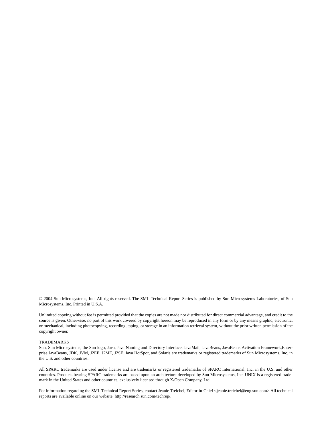© 2004 Sun Microsystems, Inc. All rights reserved. The SML Technical Report Series is published by Sun Microsystems Laboratories, of Sun Microsystems, Inc. Printed in U.S.A.

Unlimited copying without fee is permitted provided that the copies are not made nor distributed for direct commercial advantage, and credit to the source is given. Otherwise, no part of this work covered by copyright hereon may be reproduced in any form or by any means graphic, electronic, or mechanical, including photocopying, recording, taping, or storage in an information retrieval system, without the prior written permission of the copyright owner.

### TRADEMARKS

Sun, Sun Microsystems, the Sun logo, Java, Java Naming and Directory Interface, JavaMail, JavaBeans, JavaBeans Activation Framework,Enterprise JavaBeans, JDK, JVM, J2EE, J2ME, J2SE, Java HotSpot, and Solaris are trademarks or registered trademarks of Sun Microsystems, Inc. in the U.S. and other countries.

All SPARC trademarks are used under license and are trademarks or registered trademarks of SPARC International, Inc. in the U.S. and other countries. Products bearing SPARC trademarks are based upon an architecture developed by Sun Microsystems, Inc. UNIX is a registered trademark in the United States and other countries, exclusively licensed through X/Open Company, Ltd.

For information regarding the SML Technical Report Series, contact Jeanie Treichel, Editor-in-Chief <jeanie.treichel@eng.sun.com>.All technical reports are available online on our website, http://research.sun.com/techrep/.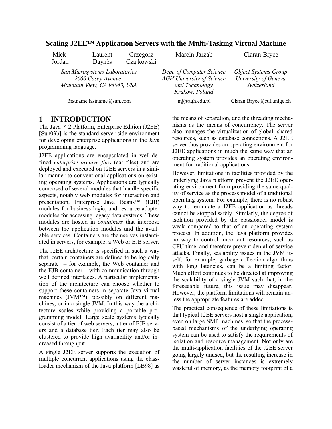### Scaling J2EE™ Application Servers with the Multi-Tasking Virtual Machine

| Mick<br>Jordan                                                                     | Laurent<br>Daynès          | Grzegorz<br>Czajkowski | Marcin Jarzab                                                                                     | Ciaran Bryce                                                       |
|------------------------------------------------------------------------------------|----------------------------|------------------------|---------------------------------------------------------------------------------------------------|--------------------------------------------------------------------|
| Sun Microsystems Laboratories<br>2600 Casey Avenue<br>Mountain View, CA 94043, USA |                            |                        | Dept. of Computer Science<br><b>AGH University of Science</b><br>and Technology<br>Krakow, Poland | <b>Object Systems Group</b><br>University of Geneva<br>Switzerland |
|                                                                                    | firstname.lastname@sun.com |                        | $m$ $(a)$ agh.edu.pl                                                                              | Ciaran.Bryce@cui.unige.ch                                          |

#### $\mathbf{1}$ **INTRODUCTION**

The Java<sup>TM</sup> 2 Platform, Enterprise Edition (J2EE) [Sun03b] is the standard server-side environment for developing enterprise applications in the Java programming language.

J2EE applications are encapsulated in well-defined *enterprise archive files* (ear files) and are deployed and executed on J2EE servers in a similar manner to conventional applications on existing operating systems. Applications are typically composed of several modules that handle specific aspects, notably web modules for interaction and presentation, Enterprise Java Beans<sup>TM</sup> (EJB) modules for business logic, and resource adapter modules for accessing legacy data systems. These modules are hosted in *containers* that interpose between the application modules and the available services. Containers are themselves instantiated in servers, for example, a Web or EJB server.

The J2EE architecture is specified in such a way that certain containers are defined to be logically separate  $-$  for example, the Web container and the EJB container  $-$  with communication through well defined interfaces. A particular implementation of the architecture can choose whether to support these containers in separate Java virtual machines (JVMTM), possibly on different machines, or in a single JVM. In this way the architecture scales while providing a portable programming model. Large scale systems typically consist of a tier of web servers, a tier of EJB servers and a database tier. Each tier may also be clustered to provide high availability and/or increased throughput.

A single J2EE server supports the execution of multiple concurrent applications using the classloader mechanism of the Java platform [LB98] as

the means of separation, and the threading mechanisms as the means of concurrency. The server also manages the virtualization of global, shared resources, such as database connections. A J2EE server thus provides an operating environment for J2EE applications in much the same way that an operating system provides an operating environment for traditional applications.

However, limitations in facilities provided by the underlying Java platform prevent the J2EE operating environment from providing the same quality of service as the process model of a traditional operating system. For example, there is no robust way to terminate a J2EE application as threads cannot be stopped safely. Similarly, the degree of isolation provided by the classloader model is weak compared to that of an operating system process. In addition, the Java platform provides no way to control important resources, such as CPU time, and therefore prevent denial of service attacks. Finally, scalability issues in the JVM itself, for example, garbage collection algorithms with long latencies, can be a limiting factor. Much effort continues to be directed at improving the scalability of a single JVM such that, in the foreseeable future, this issue may disappear. However, the platform limitations will remain unless the appropriate features are added.

The practical consequence of these limitations is that typical J2EE servers host a single application, even on large SMP machines, so that the processbased mechanisms of the underlying operating system can be used to satisfy the requirements of isolation and resource management. Not only are the multi-application facilities of the J2EE server going largely unused, but the resulting increase in the number of server instances is extremely wasteful of memory, as the memory footprint of a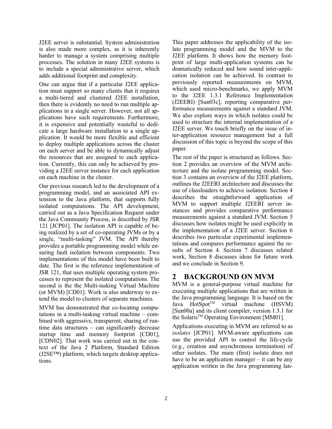J2EE server is substantial. System administration is also made more complex, as it is inherently harder to manage a system comprising multiple processes. The solution in many J2EE systems is to include a special administrative server, which adds additional footprint and complexity.

One can argue that if a particular J2EE application must support so many clients that it requires a multi-tiered and clustered J2EE installation, then there is evidently no need to run multiple applications in a single server. However, not all applications have such requirements. Furthermore, it is expensive and potentially wasteful to dedicate a large hardware installation to a single application. It would be more flexible and efficient to deploy multiple applications across the cluster on each server and be able to dynamically adjust the resources that are assigned to each application. Currently, this can only be achieved by providing a J2EE server instance for each application on each machine in the cluster.

Our previous research led to the development of a programming model, and an associated API extension to the Java platform, that supports fully isolated computations. The API development, carried out as a Java Specification Request under the Java Community Process, is described by JSR 121 [JCP01]. The isolation API is capable of being realized by a set of co-operating JVMs or by a single, "multi-tasking" JVM. The API thereby provides a portable programming model while ensuring fault isolation between components. Two implementations of this model have been built to date. The first is the reference implementation of JSR 121, that uses multiple operating system processes to represent the isolated computations. The second is the the Multi-tasking Virtual Machine (or MVM) [CD01]. Work is also underway to extend the model to clusters of separate machines.

MVM has demonstrated that co-locating computations in a multi-tasking virtual machine  $-$  combined with aggressive, transparent, sharing of runtime data structures  $-$  can significantly decrease startup time and memory footprint [CD01], [CDN02]. That work was carried out in the context of the Java 2 Platform, Standard Edition  $(J2SE<sup>TM</sup>)$  platform, which targets desktop applications.

This paper addresses the applicability of the isolate programming model and the MVM to the J2EE platform. It shows how the memory footprint of large multi-application systems can be dramatically reduced and how sound inter-application isolation can be achieved. In contrast to previously reported measurements on MVM, which used micro-benchmarks, we apply MVM to the J2EE 1.3.1 Reference Implementation (J2EERI) [Sun03c], reporting comparative performance measurements against a standard JVM. We also explore ways in which isolates could be used to structure the internal implementation of a J2EE server. We touch briefly on the issue of inter-application resource management but a full discussion of this topic is beyond the scope of this paper.

The rest of the paper is structured as follows. Section 2 provides an overview of the MVM architecture and the isolate programming model. Section 3 contains an overview of the J2EE platform. outlines the J2EERI architecture and discusses the use of classloaders to achieve isolation. Section 4 describes the straightforward application of MVM to support multiple J2EERI server instances and provides comparative performance measurements against a standard JVM. Section 5 discusses how isolates might be used explicitly in the implementation of a J2EE server. Section 6 describes two particular experimental implementations and compares performance against the results of Section 4. Section 7 discusses related work, Section 8 discusses ideas for future work and we conclude in Section 9.

#### $\overline{2}$ **BACKGROUND ON MVM**

MVM is a general-purpose virtual machine for executing multiple applications that are written in the Java programming language. It is based on the Java HotSpot™ virtual machine (HSVM) [Sun00a] and its client compiler, version 1.3.1 for the Solaris<sup>™</sup> Operating Environment [MM01].

Applications executing in MVM are referred to as isolates [JCP01]. MVM-aware applications can use the provided API to control the life-cycle (e.g., creation and asynchronous termination) of other isolates. The main (first) isolate does not have to be an application manager  $-$  it can be any application written in the Java programming lan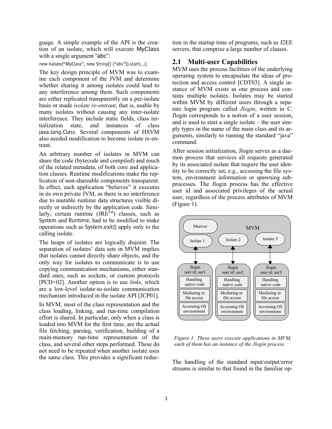guage. A simple example of the API is the creation of an isolate, which will execute MyClass with a single argument "abc":

new Isolate("MyClass", new String[] {"abc"}).start(...);

The key design principle of MVM was to examine each component of the JVM and determine whether sharing it among isolates could lead to any interference among them. Such components are either replicated transparently on a per-isolate basis or made *isolate re-entrant*, that is, usable by many isolates without causing any inter-isolate interference. They include static fields, class initialization state, and instances of class java.lang.Class. Several components of HSVM also needed modification to become isolate re-entrant

An arbitrary number of isolates in MVM can share the code (bytecode and compiled) and much of the related metadata, of both core and application classes. Runtime modifications make the replication of non-shareable components transparent. In effect, each application "believes" it executes in its own private JVM, as there is no interference due to mutable runtime data structures visible directly or indirectly by the application code. Similarly, certain runtime (JRE<sup>TM</sup>) classes, such as System and Runtime, had to be modified to make operations such as System.exit() apply only to the calling isolate.

The heaps of isolates are logically disjoint. The separation of isolates' data sets in MVM implies that isolates cannot directly share objects, and the only way for isolates to communicate is to use copying communication mechanisms, either standard ones, such as sockets, or custom protocols [PCD+02]. Another option is to use *links*, which are a low-level isolate-to-isolate communication mechanism introduced in the isolate API [JCP01].

In MVM, most of the class representation and the class loading, linking, and run-time compilation effort is shared. In particular, only when a class is loaded into MVM for the first time, are the actual file fetching, parsing, verification, building of a main-memory run-time representation of the class, and several other steps performed. These do not need to be repeated when another isolate uses the same class. This provides a significant reduction in the startup time of programs, such as J2EE servers, that comprise a large number of classes.

### 2.1 Multi-user Capabilities

MVM uses the process facilities of the underlying operating system to encapsulate the ideas of protection and access control [CDT03]. A single instance of MVM exists as one process and contains multiple isolates. Isolates may be started within MVM by different users through a separate login program called *Jlogin*, written in C. Jlogin corresponds to a notion of a user session, and is used to start a single isolate  $-$  the user simply types in the name of the main class and its arguments, similarly to running the standard "java" command.

After session initialization, Jlogin serves as a daemon process that services all requests generated by its associated isolate that require the user identity to be correctly set, e.g., accessing the file system, environment information or spawning subprocesses. The Jlogin process has the effective user id and associated privileges of the actual user, regardless of the process attributes of MVM  $(Figure 1)$ .



Figure 1: Three users execute applications in MVM; each of them has an instance of the Jlogin process.

The handling of the standard input/output/error streams is similar to that found in the familiar op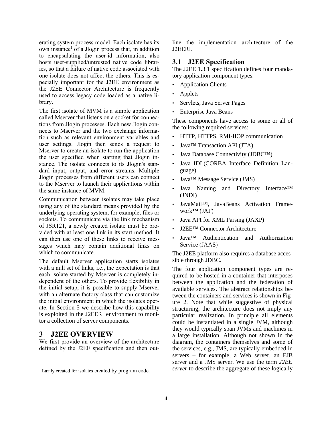erating system process model. Each isolate has its own instance<sup>1</sup> of a Jlogin process that, in addition to encapsulating the user-id information, also hosts user-supplied/untrusted native code libraries, so that a failure of native code associated with one isolate does not affect the others. This is especially important for the J2EE environment as the J2EE Connector Architecture is frequently used to access legacy code loaded as a native library.

The first isolate of MVM is a simple application called Mserver that listens on a socket for connections from Jlogin processes. Each new Jlogin connects to Mserver and the two exchange information such as relevant environment variables and user settings. Jlogin then sends a request to Mserver to create an isolate to run the application the user specified when starting that Jlogin instance. The isolate connects to its Jlogin's standard input, output, and error streams. Multiple Jlogin processes from different users can connect to the Mserver to launch their applications within the same instance of MVM.

Communication between isolates may take place using any of the standard means provided by the underlying operating system, for example, files or sockets. To communicate via the link mechanism of JSR121, a newly created isolate must be provided with at least one link in its start method. It can then use one of these links to receive messages which may contain additional links on which to communicate.

The default Mserver application starts isolates with a null set of links, i.e., the expectation is that each isolate started by Mserver is completely independent of the others. To provide flexibility in the initial setup, it is possible to supply Mserver with an alternate factory class that can customize the initial environment in which the isolates operate. In Section 5 we describe how this capability is exploited in the J2EERI environment to monitor a collection of server components.

#### **J2EE OVERVIEW** 3

We first provide an overview of the architecture defined by the J2EE specification and then outline the implementation architecture of the **I2EERI** 

### 3.1 J2EE Specification

The J2EE 1.3.1 specification defines four mandatory application component types:

- **Application Clients**  $\bullet$
- Applets
- Servlets, Java Server Pages
- **Enterprise Java Beans**  $\bullet$

These components have access to some or all of the following required services:

- HTTP, HTTPS, RMI-IIOP communication  $\bullet$
- Java<sup>™</sup> Transaction API (JTA)
- Java Database Connectivity (JDBC<sup>TM</sup>)
- Java IDL(CORBA Interface Definition Language)
- Java<sup>™</sup> Message Service (JMS)
- Java Naming and Directory Interface<sup>TM</sup>  $(JNDI)$
- JavaMail<sup>TM</sup>, JavaBeans Activation Frame- $\bullet$  $work^{TM} (JAF)$
- Java API for XML Parsing (JAXP)
- **J2EE<sup>TM</sup>** Connector Architecture
- Java<sup>TM</sup> Authentication and Authorization Service (JAAS)

The J2EE platform also requires a database accessible through JDBC.

The four application component types are required to be hosted in a container that interposes between the application and the federation of available services. The abstract relationships between the containers and services is shown in Figure 2. Note that while suggestive of physical structuring, the architecture does not imply any particular realization. In principle all elements could be instantiated in a single JVM, although they would typically span JVMs and machines in a large installation. Although not shown in the diagram, the containers themselves and some of the services, e.g., JMS, are typically embedded in servers – for example, a Web server, an EJB server and a JMS server. We use the term J2EE server to describe the aggregate of these logically

<sup>&</sup>lt;sup>1</sup> Lazily created for isolates created by program code.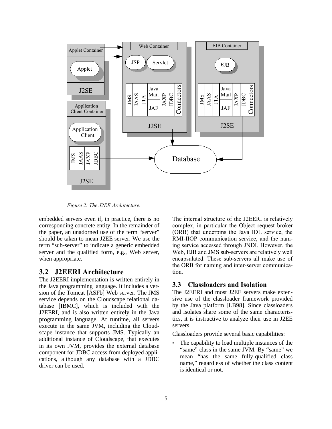

*Figure 2: The J2EE Architecture.* 

embedded servers even if, in practice, there is no corresponding concrete entity. In the remainder of the paper, an unadorned use of the term "server" should be taken to mean J2EE server. We use the term "sub-server" to indicate a generic embedded server and the qualified form, e.g., Web server, when appropriate.

# **3.2 J2EERI Architecture**

The J2EERI implementation is written entirely in the Java programming language. It includes a version of the Tomcat [ASFb] Web server. The JMS service depends on the Cloudscape relational database [IBMC], which is included with the J2EERI, and is also written entirely in the Java programming language. At runtime, all servers execute in the same JVM, including the Cloudscape instance that supports JMS. Typically an additional instance of Cloudscape, that executes in its own JVM, provides the external database component for JDBC access from deployed applications, although any database with a JDBC driver can be used.

The internal structure of the J2EERI is relatively complex, in particular the Object request broker  $(ORB)$  that underpins the Java IDL service, the  $R$ MI-IIOP communication service, and the naming service accessed through JNDI. However, the Web, EJB and JMS sub-servers are relatively well encapsulated. These sub-servers all make use of the  $\overline{ORB}$  for naming and inter-server communication.

# **3.3** Classloaders and Isolation

The J2EERI and most J2EE servers make extensive use of the classloader framework provided by the Java platform [LB98]. Since classloaders and isolates share some of the same characteristics, it is instructive to analyze their use in J2EE servers.

Classloaders provide several basic capabilities:

 The capability to load multiple instances of the "same" class in the same JVM. By "same" we mean "has the same fully-qualified class name," regardless of whether the class content is identical or not.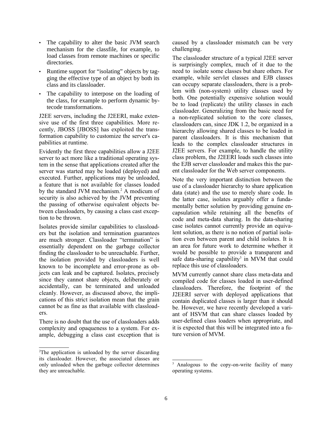- The capability to alter the basic JVM search mechanism for the classfile, for example, to load classes from remote machines or specific directories.
- Runtime support for "isolating" objects by tagging the effective type of an object by both its class and its classloader.
- The capability to interpose on the loading of the class, for example to perform dynamic bytecode transformations.

J2EE servers, including the J2EERI, make extensive use of the first three capabilities. More recently, JBOSS [JBOSS] has exploited the transformation capability to customize the server's capabilities at runtime.

Evidently the first three capabilities allow a J2EE server to act more like a traditional operating system in the sense that applications created after the server was started may be loaded (deployed) and executed. Further, applications may be unloaded, a feature that is not available for classes loaded by the standard JVM mechanism.<sup>2</sup> A modicum of security is also achieved by the JVM preventing the passing of otherwise equivalent objects between classloaders, by causing a class cast exception to be thrown.

Isolates provide similar capabilities to classloaders but the isolation and termination guarantees are much stronger. Classloader "termination" is essentially dependent on the garbage collector finding the classloader to be unreachable. Further, the isolation provided by classloaders is well known to be incomplete and error-prone as objects can leak and be captured. Isolates, precisely since they cannot share objects, deliberately or accidentally, can be terminated and unloaded cleanly. However, as discussed above, the implications of this strict isolation mean that the grain cannot be as fine as that available with class load $ers$ 

There is no doubt that the use of classloaders adds complexity and opaqueness to a system. For example, debugging a class cast exception that is caused by a classloader mismatch can be very challenging.

The classloader structure of a typical J2EE server is surprisingly complex, much of it due to the need to isolate some classes but share others. For example, while servlet classes and EJB classes can occupy separate classibaders, there is a problem with (non-system) utility classes used by both. One potentially expensive solution would be to load (replicate) the utility classes in each classloader. Generalizing from the basic need for a non-replicated solution to the core classes. classloaders can, since JDK 1.2, be organized in a hierarchy allowing shared classes to be loaded in parent classloaders. It is this mechanism that leads to the complex classloader structures in J2EE servers. For example, to handle the utility class problem, the J2EERI loads such classes into the EJB server classloader and makes this the parent classloader for the Web server components.

Note the very important distinction between the use of a classloader hierarchy to share application data (state) and the use to merely share code. In the latter case, isolates arguably offer a fundamentally better solution by providing genuine encapsulation while retaining all the benefits of code and meta-data sharing. In the data-sharing case isolates cannot currently provide an equivalent solution, as there is no notion of partial isolation even between parent and child isolates. It is an area for future work to determine whether it would be possible to provide a transparent and safe data-sharing capability<sup>3</sup> in MVM that could replace this use of classloaders.

MVM currently cannot share class meta-data and compiled code for classes loaded in user-defined classloaders. Therefore, the footprint of the J2EERI server with deployed applications that contain duplicated classes is larger than it should be. However, we have recently developed a variant of HSVM that can share classes loaded by user-defined class loaders when appropriate, and it is expected that this will be integrated into a future version of MVM.

<sup>&</sup>lt;sup>2</sup>The application is unloaded by the server discarding its classloader. However, the associated classes are only unloaded when the garbage collector determines they are unreachable.

<sup>&</sup>lt;sup>3</sup> Analogous to the copy-on-write facility of many operating systems.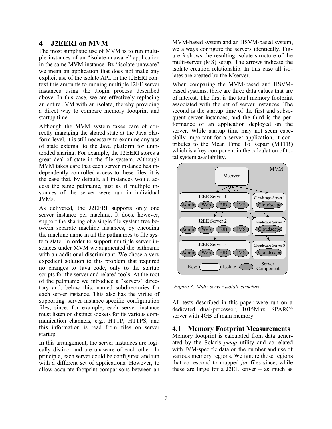#### **J2EERI** on MVM  $\blacktriangle$

The most simplistic use of MVM is to run multiple instances of an "isolate-unaware" application in the same MVM instance. By "isolate-unaware" we mean an application that does not make any explicit use of the isolate API. In the J2EERI context this amounts to running multiple J2EE server instances using the Jlogin process described above. In this case, we are effectively replacing an entire JVM with an isolate, thereby providing a direct way to compare memory footprint and startup time.

Although the MVM system takes care of correctly managing the shared state at the Java platform level, it is still necessary to examine any use of state external to the Java platform for unintended sharing. For example, the J2EERI stores a great deal of state in the file system. Although MVM takes care that each server instance has independently controlled access to these files, it is the case that, by default, all instances would access the same pathname, just as if multiple instances of the server were run in individual **IVMs** 

As delivered, the J2EERI supports only one server instance per machine. It does, however, support the sharing of a single file system tree between separate machine instances, by encoding the machine name in all the pathnames to file system state. In order to support multiple server instances under MVM we augmented the pathname with an additional discriminant. We chose a very expedient solution to this problem that required no changes to Java code, only to the startup scripts for the server and related tools. At the root of the pathname we introduce a "servers" directory and, below this, named subdirectories for each server instance. This also has the virtue of supporting server-instance-specific configuration files, since, for example, each server instance must listen on distinct sockets for its various communication channels, e.g., HTTP, HTTPS, and this information is read from files on server startup.

In this arrangement, the server instances are logically distinct and are unaware of each other. In principle, each server could be configured and run with a different set of applications. However, to allow accurate footprint comparisons between an MVM-based system and an HSVM-based system, we always configure the servers identically. Figure 3 shows the resulting isolate structure of the multi-server (MS) setup. The arrows indicate the isolate creation relationship. In this case all isolates are created by the Mserver.

When comparing the MVM-based and HSVMbased systems, there are three data values that are of interest. The first is the total memory footprint associated with the set of server instances. The second is the startup time of the first and subsequent server instances, and the third is the performance of an application deployed on the server. While startup time may not seem especially important for a server application, it contributes to the Mean Time To Repair (MTTR) which is a key component in the calculation of total system availability.



Figure 3: Multi-server isolate structure.

All tests described in this paper were run on a dedicated dual-processor, 1015Mhz, SPARC® server with 4GB of main memory.

### **4.1 Memory Footprint Measurements**

Memory footprint is calculated from data generated by the Solaris pmap utility and correlated with JVM-specific data on the number and use of various memory regions. We ignore those regions that correspond to mapped *jar* files since, while these are large for a J2EE server  $-$  as much as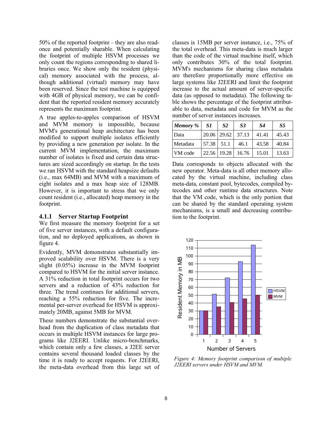$50\%$  of the reported footprint – they are also readonce and potentially sharable. When calculating the footprint of multiple HSVM processes we only count the regions corresponding to shared libraries once. We show only the resident (physical) memory associated with the process, although additional (virtual) memory may have been reserved. Since the test machine is equipped with 4GB of physical memory, we can be confident that the reported resident memory accurately represents the maximum footprint.

A true apples-to-apples comparison of HSVM and MVM memory is impossible, because MVM's generational heap architecture has been modified to support multiple isolates efficiently by providing a new generation per isolate. In the current MVM implementation, the maximum number of isolates is fixed and certain data structures are sized accordingly on startup. In the tests we ran HSVM with the standard heapsize defaults (i.e., max 64MB) and MVM with a maximum of eight isolates and a max heap size of 128MB. However, it is important to stress that we only count resident (i.e., allocated) heap memory in the footprint.

### 4.1.1 Server Startup Footprint

We first measure the memory footprint for a set of five server instances, with a default configuration, and no deployed applications, as shown in figure 4.

Evidently, MVM demonstrates substantially improved scalability over HSVM. There is a very slight  $(0.05\%)$  increase in the MVM footprint compared to HSVM for the initial server instance. A 31% reduction in total footprint occurs for two servers and a reduction of 43% reduction for three. The trend continues for additional servers, reaching a 55% reduction for five. The incremental per-server overhead for HSVM is approximately 20MB, against 5MB for MVM.

These numbers demonstrate the substantial overhead from the duplication of class metadata that occurs in multiple HSVM instances for large programs like J2EERI. Unlike micro-benchmarks. which contain only a few classes, a J2EE server contains several thousand loaded classes by the time it is ready to accept requests. For J2EERI, the meta-data overhead from this large set of classes is 15MB per server instance, i.e., 75% of the total overhead. This meta-data is much larger than the code of the virtual machine itself, which only contributes 30% of the total footprint. MVM's mechanisms for sharing class metadata are therefore proportionally more effective on large systems like J2EERI and limit the footprint increase to the actual amount of server-specific data (as opposed to metadata). The following table shows the percentage of the footprint attributable to data, metadata and code for MVM as the number of server instances increases.

| <b>Memory</b> % | -S1        | S <sub>2</sub> | <b>S3</b>               | S4    | <b>S5</b> |
|-----------------|------------|----------------|-------------------------|-------|-----------|
| Data            |            |                | 20.06   29.62   37.13   | 41.41 | 45.43     |
| Metadata        | 57.38 51.1 |                | 46.1                    | 43.58 | 40.84     |
| VM code         |            |                | $22.56$   19.28   16.76 | 15.01 | 13.63     |

Data corresponds to objects allocated with the new operator. Meta-data is all other memory allocated by the virtual machine, including class meta-data, constant pool, bytecodes, compiled bytecodes and other runtime data structures. Note that the VM code, which is the only portion that can be shared by the standard operating system mechanisms, is a small and decreasing contribution to the footprint.



Figure 4: Memory footprint comparison of multiple J2EERI servers under HSVM and MVM.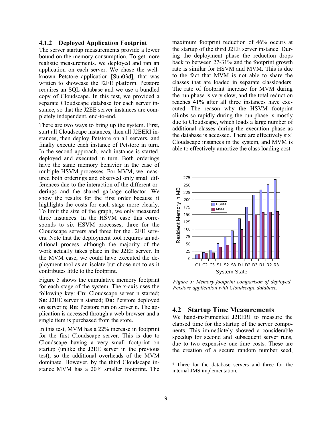### 4.1.2 Deployed Application Footprint

The server startup measurements provide a lower bound on the memory consumption. To get more realistic measurements, we deployed and ran an application on each server. We chose the wellknown Petstore application [Sun03d], that was written to showcase the J2EE platform. Petstore requires an SQL database and we use a bundled copy of Cloudscape. In this test, we provided a separate Cloudscape database for each server instance, so that the J2EE server instances are completely independent, end-to-end.

There are two ways to bring up the system. First, start all Cloudscape instances, then all J2EERI instances, then deploy Petstore on all servers, and finally execute each instance of Petstore in turn. In the second approach, each instance is started, deployed and executed in turn. Both orderings have the same memory behavior in the case of multiple HSVM processes. For MVM, we measured both orderings and observed only small differences due to the interaction of the different orderings and the shared garbage collector. We show the results for the first order because it highlights the costs for each stage more clearly. To limit the size of the graph, we only measured three instances. In the HSVM case this corresponds to six HSVM processes, three for the Cloudscape servers and three for the J2EE servers. Note that the deployment tool requires an additional process, although the majority of the work actually takes place in the J2EE server. In the MVM case, we could have executed the deployment tool as an isolate but chose not to as it contributes little to the footprint.

Figure 5 shows the cumulative memory footprint for each stage of the system. The x-axis uses the following key: Cn: Cloudscape server n started; Sn: J2EE server n started; Dn: Petstore deployed on server n; Rn: Petstore run on server n. The application is accessed through a web browser and a single item is purchased from the store.

In this test, MVM has a 22% increase in footprint for the first Cloudscape server. This is due to Cloudscape having a very small footprint on startup (unlike the J2EE server in the previous test), so the additional overheads of the MVM dominate. However, by the third Cloudscape instance MVM has a 20% smaller footprint. The

maximum footprint reduction of 46% occurs at the startup of the third J2EE server instance. During the deployment phase the reduction drops back to between  $27-31\%$  and the footprint growth rate is similar for HSVM and MVM. This is due to the fact that MVM is not able to share the classes that are loaded in separate classloaders. The rate of footprint increase for MVM during the run phase is very slow, and the total reduction reaches 41% after all three instances have executed. The reason why the HSVM footprint climbs so rapidly during the run phase is mostly due to Cloudscape, which loads a large number of additional classes during the execution phase as the database is accessed. There are effectively six<sup>4</sup> Cloudscape instances in the system, and MVM is able to effectively amortize the class loading cost.



Figure 5: Memory footprint comparison of deployed Petstore application with Cloudscape database.

#### 4.2 **Startup Time Measurements**

We hand-instrumented J2EERI to measure the elapsed time for the startup of the server components. This immediately showed a considerable speedup for second and subsequent server runs, due to two expensive one-time costs. These are the creation of a secure random number seed.

<sup>&</sup>lt;sup>4</sup> Three for the database servers and three for the internal JMS implementation.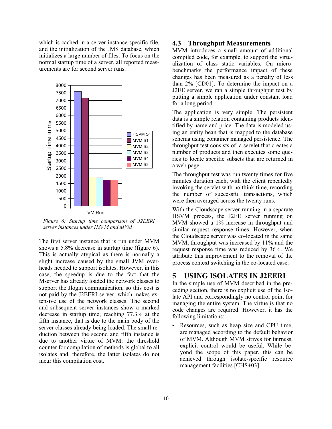which is cached in a server instance-specific file, and the initialization of the JMS database, which initializes a large number of files. To focus on the normal startup time of a server, all reported measurements are for second server runs.



Figure 6: Startup time comparison of J2EERI server instances under HSVM and MVM

The first server instance that is run under MVM shows a  $5.8\%$  decrease in startup time (figure 6). This is actually atypical as there is normally a slight increase caused by the small JVM overheads needed to support isolates. However, in this case, the speedup is due to the fact that the Mserver has already loaded the network classes to support the Jlogin communication, so this cost is not paid by the J2EERI server, which makes extensive use of the network classes. The second and subsequent server instances show a marked decrease in startup time, reaching 77.3% at the fifth instance, that is due to the main body of the server classes already being loaded. The small reduction between the second and fifth instance is due to another virtue of MVM: the threshold counter for compilation of methods is global to all isolates and, therefore, the latter isolates do not incur this compilation cost.

### **4.3 Throughput Measurements**

MVM introduces a small amount of additional compiled code, for example, to support the virtualization of class static variables. On microbenchmarks the performance impact of these changes has been measured as a penalty of less than 2% [CD01]. To determine the impact on a J2EE server, we ran a simple throughput test by putting a simple application under constant load for a long period.

The application is very simple. The persistent data is a simple relation containing products identified by name and price. The data is modeled using an entity bean that is mapped to the database schema using container managed persistence. The throughput test consists of a servlet that creates a number of products and then executes some queries to locate specific subsets that are returned in a web page.

The throughput test was run twenty times for five minutes duration each, with the client repeatedly invoking the servlet with no think time, recording the number of successful transactions, which were then averaged across the twenty runs.

With the Cloudscape server running in a separate HSVM process, the J2EE server running on MVM showed a 1% increase in throughput and similar request response times. However, when the Cloudscape server was co-located in the same MVM, throughput was increased by 11% and the request response time was reduced by 36%. We attribute this improvement to the removal of the process context switching in the co-located case.

#### **USING ISOLATES IN J2EERI** 5

In the simple use of MVM described in the preceding section, there is no explicit use of the Isolate API and correspondingly no control point for managing the entire system. The virtue is that no code changes are required. However, it has the following limitations:

Resources, such as heap size and CPU time, are managed according to the default behavior of MVM. Although MVM strives for fairness, explicit control would be useful. While beyond the scope of this paper, this can be achieved through isolate-specific resource management facilities [CHS+03].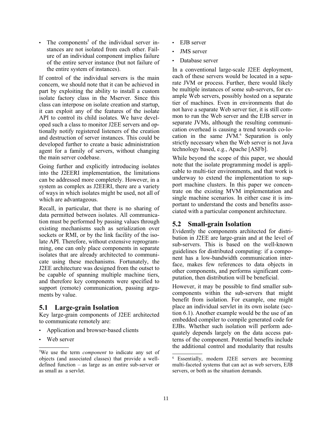• The components<sup>5</sup> of the individual server instances are not isolated from each other. Failure of an individual component implies failure of the entire server instance (but not failure of the entire system of instances).

If control of the individual servers is the main concern, we should note that it can be achieved in part by exploiting the ability to install a custom isolate factory class in the Mserver. Since this class can interpose on isolate creation and startup, it can exploit any of the features of the isolate API to control its child isolates. We have developed such a class to monitor J2EE servers and optionally notify registered listeners of the creation and destruction of server instances. This could be developed further to create a basic administration agent for a family of servers, without changing the main server codebase.

Going further and explicitly introducing isolates into the J2EERI implementation, the limitations can be addressed more completely. However, in a system as complex as J2EERI, there are a variety of ways in which isolates might be used, not all of which are advantageous.

Recall, in particular, that there is no sharing of data permitted between isolates. All communication must be performed by passing values through existing mechanisms such as serialization over sockets or RMI, or by the link facility of the isolate API. Therefore, without extensive reprogramming, one can only place components in separate isolates that are already architected to communicate using these mechanisms. Fortunately, the J2EE architecture was designed from the outset to be capable of spanning multiple machine tiers, and therefore key components were specified to support (remote) communication, passing arguments by value.

### 5.1 Large-grain Isolation

Key large-grain components of J2EE architected to communicate remotely are:

- Application and browser-based clients
- Web server
- EJB server
- JMS server
- Database server

In a conventional large-scale J2EE deployment, each of these servers would be located in a separate JVM or process. Further, there would likely be multiple instances of some sub-servers, for example Web servers, possibly hosted on a separate tier of machines. Even in environments that do not have a separate Web server tier, it is still common to run the Web server and the EJB server in separate JVMs, although the resulting communication overhead is causing a trend towards co-location in the same JVM.<sup>6</sup> Separation is only strictly necessary when the Web server is not Java technology based, e.g., Apache [ASFb].

While beyond the scope of this paper, we should note that the isolate programming model is applicable to multi-tier environments, and that work is underway to extend the implementation to support machine clusters. In this paper we concentrate on the existing MVM implementation and single machine scenarios. In either case it is important to understand the costs and benefits associated with a particular component architecture.

### 5.2 Small-grain Isolation

Evidently the components architected for distribution in J2EE are large-grain and at the level of sub-servers. This is based on the well-known guidelines for distributed computing: if a component has a low-bandwidth communication interface, makes few references to data objects in other components, and performs significant computation, then distribution will be beneficial.

However, it may be possible to find smaller subcomponents within the sub-servers that might benefit from isolation. For example, one might place an individual servlet in its own isolate (section 6.1). Another example would be the use of an embedded compiler to compile generated code for EJBs. Whether such isolation will perform adequately depends largely on the data access patterns of the component. Potential benefits include the additional control and modularity that results

<sup>&</sup>lt;sup>5</sup>We use the term *component* to indicate any set of objects (and associated classes) that provide a welldefined function  $-$  as large as an entire sub-server or as small as a servlet.

<sup>&</sup>lt;sup>6</sup> Essentially, modern J2EE servers are becoming multi-faceted systems that can act as web servers. EJB servers, or both as the situation demands.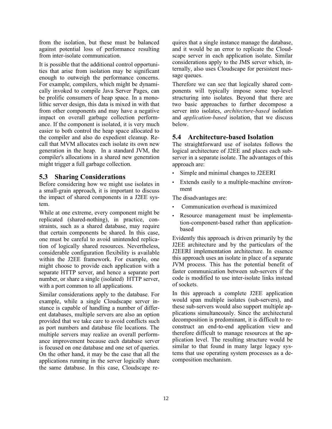from the isolation, but these must be balanced against potential loss of performance resulting from inter-isolate communication.

It is possible that the additional control opportunities that arise from isolation may be significant enough to outweigh the performance concerns. For example, compilers, which might be dynamically invoked to compile Java Server Pages, can be prolific consumers of heap space. In a monolithic server design, this data is mixed in with that from other components and may have a negative impact on overall garbage collection performance. If the component is isolated, it is very much easier to both control the heap space allocated to the compiler and also do expedient cleanup. Recall that MVM allocates each isolate its own new generation in the heap. In a standard JVM, the compiler's allocations in a shared new generation might trigger a full garbage collection.

#### **Sharing Considerations**  $5.3$

Before considering how we might use isolates in a small-grain approach, it is important to discuss the impact of shared components in a J2EE system.

While at one extreme, every component might be. replicated (shared-nothing), in practice, constraints, such as a shared database, may require that certain components be shared. In this case, one must be careful to avoid unintended replication of logically shared resources. Nevertheless, considerable configuration flexibility is available within the J2EE framework. For example, one might choose to provide each application with a separate HTTP server, and hence a separate port number, or share a single (isolated) HTTP server, with a port common to all applications.

Similar considerations apply to the database. For example, while a single Cloudscape server instance is capable of handling a number of different databases, multiple servers are also an option provided that we take care to avoid conflicts such as port numbers and database file locations. The multiple servers may realize an overall performance improvement because each database server is focused on one database and one set of queries. On the other hand, it may be the case that all the applications running in the server logically share the same database. In this case, Cloudscape re-

quires that a single instance manage the database, and it would be an error to replicate the Cloudscape server in each application isolate. Similar considerations apply to the JMS server which, internally, also uses Cloudscape for persistent message queues.

Therefore we can see that logically shared components will typically impose some top-level structuring into isolates. Beyond that there are two basic approaches to further decompose a server into isolates, *architecture-based* isolation and *application-based* isolation, that we discuss below.

#### $5.4$ **Architecture-based Isolation**

The straightforward use of isolates follows the logical architecture of J2EE and places each subserver in a separate isolate. The advantages of this approach are:

- Simple and minimal changes to J2EERI
- Extends easily to a multiple-machine environ- $\bullet$ ment

The disadvantages are:

- Communication overhead is maximized
- Resource management must be implementa- $\bullet$ tion-component-based rather than applicationbased

Evidently this approach is driven primarily by the J2EE architecture and by the particulars of the J2EERI implementation architecture. In essence this approach uses an isolate in place of a separate JVM process. This has the potential benefit of faster communication between sub-servers if the code is modified to use inter-isolate links instead of sockets.

In this approach a complete J2EE application would span multiple isolates (sub-servers), and these sub-servers would also support multiple applications simultaneously. Since the architectural decomposition is predominant, it is difficult to reconstruct an end-to-end application view and therefore difficult to manage resources at the application level. The resulting structure would be similar to that found in many large legacy systems that use operating system processes as a decomposition mechanism.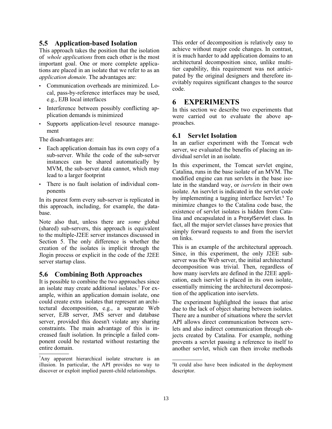### 5.5 Application-based Isolation

This approach takes the position that the isolation of *whole applications* from each other is the most important goal. One or more complete applications are placed in an isolate that we refer to as an *application domain*. The advantages are:

- Communication overheads are minimized. Local, pass-by-reference interfaces may be used, e.g., EJB local interfaces
- Interference between possibly conflicting application demands is minimized
- Supports application-level resource manage- $\bullet$ ment

The disadvantages are:

- Each application domain has its own copy of a sub-server. While the code of the sub-server instances can be shared automatically by MVM, the sub-server data cannot, which may lead to a larger footprint
- There is no fault isolation of individual components

In its purest form every sub-server is replicated in this approach, including, for example, the datahase.

Note also that, unless there are *some* global (shared) sub-servers, this approach is equivalent to the multiple-J2EE server instances discussed in Section 5. The only difference is whether the creation of the isolates is implicit through the Jlogin process or explicit in the code of the J2EE server startup class.

### **5.6 Combining Both Approaches**

It is possible to combine the two approaches since an isolate may create additional isolates.<sup>7</sup> For example, within an application domain isolate, one could create extra isolates that represent an architectural decomposition, e.g., a separate Web server, EJB server, JMS server and database server, provided this doesn't violate any sharing constraints. The main advantage of this is increased fault isolation. In principle a failed component could be restarted without restarting the entire domain.

This order of decomposition is relatively easy to achieve without major code changes. In contrast, it is much harder to add application domains to an architectural decomposition since, unlike multitier capability, this requirement was not anticipated by the original designers and therefore inevitably requires significant changes to the source code.

#### **EXPERIMENTS** 6

In this section we describe two experiments that were carried out to evaluate the above approaches.

### **6.1** Servlet Isolation

In an earlier experiment with the Tomcat web server, we evaluated the benefits of placing an individual servlet in an isolate.

In this experiment, the Tomcat servlet engine, Catalina, runs in the base isolate of an MVM. The modified engine can run servlets in the base isolate in the standard way, or *iservlets* in their own isolate. An iservlet is indicated in the servlet code by implementing a tagging interface Iservlet.<sup>8</sup> To minimize changes to the Catalina code base, the existence of servlet isolates is hidden from Catalina and encapsulated in a ProxylServlet class. In fact, all the major servlet classes have proxies that simply forward requests to and from the iservlet on links.

This is an example of the architectural approach. Since, in this experiment, the only J2EE subserver was the Web server, the initial architectural decomposition was trivial. Then, regardless of how many is ervlets are defined in the J2EE application, each iservlet is placed in its own isolate, essentially mimicing the architectural decomposition of the application into iservlets.

The experiment highlighted the issues that arise due to the lack of object sharing between isolates. There are a number of situations where the servlet API allows direct communication between servlets and also indirect communication through objects created by Catalina. For example, nothing prevents a servlet passing a reference to itself to another servlet, which can then invoke methods

<sup>&</sup>lt;sup>7</sup>Any apparent hierarchical isolate structure is an illusion. In particular, the API provides no way to discover or exploit implied parent-child relationships.

<sup>&</sup>lt;sup>8</sup>It could also have been indicated in the deployment descriptor.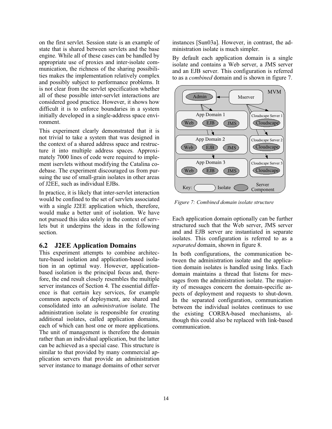on the first servlet. Session state is an example of state that is shared between servlets and the base engine. While all of these cases can be handled by appropriate use of proxies and inter-isolate communication, the richness of the sharing possibilities makes the implementation relatively complex and possibly subject to performance problems. It is not clear from the servlet specification whether all of these possible inter-servlet interactions are considered good practice. However, it shows how difficult it is to enforce boundaries in a system initially developed in a single-address space environment.

This experiment clearly demonstrated that it is not trivial to take a system that was designed in the context of a shared address space and restructure it into multiple address spaces. Approximately 7000 lines of code were required to implement iservlets without modifying the Catalina codebase. The experiment discouraged us from pursuing the use of small-grain isolates in other areas of J2EE, such as individual EJBs.

In practice, it is likely that inter-servlet interaction would be confined to the set of servlets associated with a single J2EE application which, therefore, would make a better unit of isolation. We have not pursued this idea solely in the context of servlets but it underpins the ideas in the following section.

### **6.2 J2EE Application Domains**

This experiment attempts to combine architecture-based isolation and application-based isolation in an optimal way. However, applicationbased isolation is the principal focus and, therefore, the end result closely resembles the multiple server instances of Section 4. The essential difference is that certain key services, for example common aspects of deployment, are shared and consolidated into an *administration* isolate. The administration isolate is responsible for creating additional isolates, called application domains, each of which can host one or more applications. The unit of management is therefore the domain rather than an individual application, but the latter can be achieved as a special case. This structure is similar to that provided by many commercial application servers that provide an administration server instance to manage domains of other server

instances [Sun03a]. However, in contrast, the administration isolate is much simpler.

By default each application domain is a single isolate and contains a Web server, a JMS server and an EJB server. This configuration is referred to as a *combined* domain and is shown in figure 7.



Figure 7: Combined domain isolate structure

Each application domain optionally can be further structured such that the Web server, JMS server and and EJB server are instantiated in separate isolates. This configuration is referred to as a separated domain, shown in figure 8.

In both configurations, the communication between the administration isolate and the application domain isolates is handled using links. Each domain maintains a thread that listens for messages from the administration isolate. The majority of messages concern the domain-specific aspects of deployment and requests to shut-down. In the separated configuration, communication between the individual isolates continues to use the existing CORBA-based mechanisms, although this could also be replaced with link-based communication.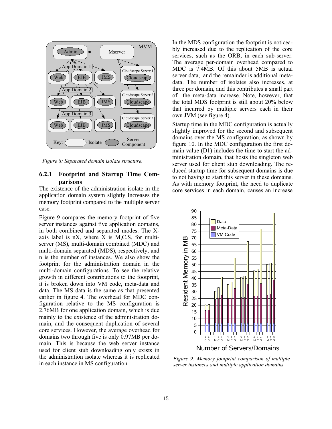

Figure 8: Separated domain isolate structure.

#### $6.2.1$ Footprint and Startup Time Comparisons

The existence of the administration isolate in the application domain system slightly increases the memory footprint compared to the multiple server case.

Figure 9 compares the memory footprint of five server instances against five application domains, in both combined and separated modes. The Xaxis label is  $nX$ , where  $X$  is M,C,S, for multiserver (MS), multi-domain combined (MDC) and multi-domain separated (MDS), respectively, and n is the number of instances. We also show the footprint for the administration domain in the multi-domain configurations. To see the relative growth in different contributions to the footprint, it is broken down into VM code, meta-data and data. The MS data is the same as that presented earlier in figure 4. The overhead for MDC configuration relative to the MS configuration is 2.76MB for one application domain, which is due mainly to the existence of the administration domain, and the consequent duplication of several core services. However, the average overhead for domains two through five is only 0.97MB per domain. This is because the web server instance used for client stub downloading only exists in the administration isolate whereas it is replicated in each instance in MS configuration.

In the MDS configuration the footprint is noticeably increased due to the replication of the core services, such as the ORB, in each sub-server. The average per-domain overhead compared to MDC is 7.4MB. Of this about 5MB is actual server data, and the remainder is additional metadata. The number of isolates also increases, at three per domain, and this contributes a small part of the meta-data increase. Note, however, that the total MDS footprint is still about 20% below that incurred by multiple servers each in their own JVM (see figure 4).

Startup time in the MDC configuration is actually slightly improved for the second and subsequent domains over the MS configuration, as shown by figure 10. In the MDC configuration the first domain value (D1) includes the time to start the administration domain, that hosts the singleton web server used for client stub downloading. The reduced startup time for subsequent domains is due to not having to start this server in these domains. As with memory footprint, the need to duplicate core services in each domain, causes an increase



Figure 9: Memory footprint comparison of multiple server instances and multiple application domains.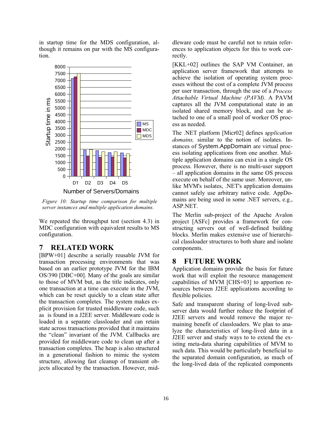in startup time for the MDS configuration, although it remains on par with the MS configuration.



Figure 10: Startup time comparison for multiple server instances and multiple application domains.

We repeated the throughput test (section 4.3) in MDC configuration with equivalent results to MS configuration.

#### 7 **RELATED WORK**

[BPW+01] describe a serially reusable JVM for transaction processing environments that was based on an earlier prototype JVM for the IBM OS/390 [DBC+00]. Many of the goals are similar to those of MVM but, as the title indicates, only one transaction at a time can execute in the JVM, which can be reset quickly to a clean state after the transaction completes. The system makes explicit provision for trusted middleware code, such as is found in a J2EE server. Middleware code is loaded in a separate classloader and can retain state across transactions provided that it maintains the "clean" invariant of the JVM. Callbacks are provided for middleware code to clean up after a transaction completes. The heap is also structured in a generational fashion to mimic the system structure, allowing fast cleanup of transient objects allocated by the transaction. However, middleware code must be careful not to retain references to application objects for this to work correctly.

[KKL+02] outlines the SAP VM Container, an application server framework that attempts to achieve the isolation of operating system processes without the cost of a complete JVM process per user transaction, through the use of a *Process* Attachable Virtual Machine (PAVM). A PAVM captures all the JVM computational state in an isolated shared memory block, and can be attached to one of a small pool of worker OS process as needed.

The .NET platform [Micr02] defines application domains, similar to the notion of isolates. Instances of System.AppDomain are virtual process isolating applications from one another. Multiple application domains can exist in a single OS process. However, there is no multi-user support - all application domains in the same OS process execute on behalf of the same user. Moreover, unlike MVM's isolates, .NET's application domains cannot safely use arbitrary native code. AppDomains are being used in some .NET servers, e.g., ASP.NET.

The Merlin sub-project of the Apache Avalon project [ASFc] provides a framework for constructing servers out of well-defined building blocks. Merlin makes extensive use of hierarchical classloader structures to both share and isolate components.

#### **FUTURE WORK** 8

Application domains provide the basis for future work that will exploit the resource management capabilities of MVM [CHS+03] to apportion resources between J2EE applications according to flexible policies.

Safe and transparent sharing of long-lived subserver data would further reduce the footprint of J2EE servers and would remove the major remaining benefit of classloaders. We plan to analyze the characteristics of long-lived data in a J2EE server and study ways to to extend the existing meta-data sharing capabilities of MVM to such data. This would be particularly beneficial to the separated domain configuration, as much of the long-lived data of the replicated components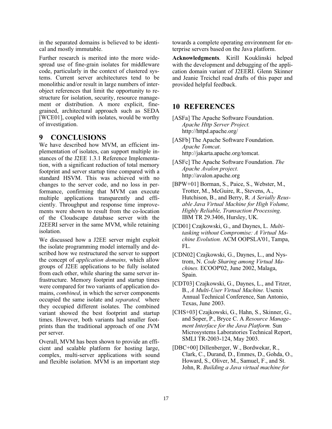in the separated domains is believed to be identical and mostly immutable.

Further research is merited into the more widespread use of fine-grain isolates for middleware code, particularly in the context of clustered systems. Current server architectures tend to be monolithic and/or result in large numbers of interobject references that limit the opportunity to restructure for isolation, security, resource management or distribution. A more explicit, finegrained, architectural approach such as SEDA [WCE01], coupled with isolates, would be worthy of investigation.

#### $\boldsymbol{Q}$ **CONCLUSIONS**

We have described how MVM, an efficient implementation of isolates, can support multiple instances of the J2EE 1.3.1 Reference Implementation, with a significant reduction of total memory footprint and server startup time compared with a standard HSVM. This was achieved with no changes to the server code, and no loss in performance, confirming that MVM can execute multiple applications transparently and efficiently. Throughput and response time improvements were shown to result from the co-location of the Cloudscape database server with the J2EERI server in the same MVM, while retaining isolation.

We discussed how a J2EE server might exploit the isolate programming model internally and described how we restructured the server to support the concept of *application domains*, which allow groups of J2EE applications to be fully isolated from each other, while sharing the same server infrastructure. Memory footprint and startup times were compared for two variants of application domains, *combined*, in which the server components occupied the same isolate and *separated*, where they occupied different isolates. The combined variant showed the best footprint and startup times. However, both variants had smaller footprints than the traditional approach of one JVM per server.

Overall, MVM has been shown to provide an efficient and scalable platform for hosting large, complex, multi-server applications with sound and flexible isolation. MVM is an important step towards a complete operating environment for enterprise servers based on the Java platform.

Acknowledgments. Kirill Kouklinski helped with the development and debugging of the application domain variant of J2EERI. Glenn Skinner and Jeanie Treichel read drafts of this paper and provided helpful feedback.

## **10 REFERENCES**

- [ASFa] The Apache Software Foundation. Apache Http Server Project. http://httpd.apache.org/
- [ASFb] The Apache Software Foundation. Apache Tomcat. http://jakarta.apache.org/tomcat.
- [ASFc] The Apache Software Foundation. The Apache Avalon project. http://avalon.apache.org
- [BPW+01] Borman, S., Paice, S., Webster, M., Trotter, M., McGuire, R., Stevens, A., Hutchison, B., and Berry, R. A Serially Reusable Java Virtual Machine for High Volume, Highly Reliable, Transaction Processing. IBM TR 29.3406, Hursley, UK.
- [CD01] Czajkowski, G., and Daynes, L. Multitasking without Compromise: A Virtual Machine Evolution. ACM OOPSLA'01, Tampa, FL.
- [CDN02] Czajkowski, G., Daynes, L., and Nystrom, N. Code Sharing among Virtual Machines. ECOOP'02, June 2002, Malaga, Spain.
- [CDT03] Czajkowski, G., Daynes, L., and Titzer, B., A Multi-User Virtual Machine. Usenix Annual Technical Conference, San Antonio, Texas, June 2003.
- [CHS+03] Czajkowski, G., Hahn, S., Skinner, G., and Soper, P., Bryce C. A Resource Management Interface for the Java Platform. Sun Microsystems Laboratories Technical Report, SMLI TR-2003-124, May 2003.
- [DBC+00] Dillenberger, W., Bordwekar, R., Clark, C., Durand, D., Emmes, D., Gohda, O., Howard, S., Oliver, M., Samuel, F., and St. John, R. Building a Java virtual machine for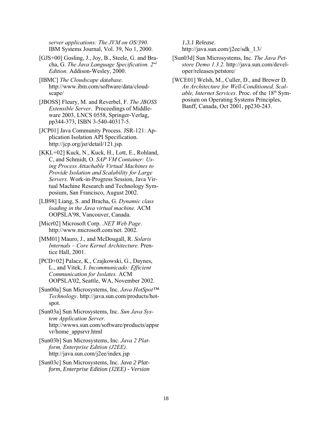server applications: The JVM on OS/390. IBM Systems Journal, Vol. 39, No 1, 2000.

[GJS+00] Gosling, J., Joy, B., Steele, G. and Bracha, G. The Java Language Specification.  $2^{nd}$ Edition. Addison-Wesley, 2000.

- [IBMC] The Cloudscape database. http://www.ibm.com/software/data/cloudscape/
- [JBOSS] Fleury, M. and Reverbel, F. The JBOSS *Extensible Server.* Proceedings of Middleware 2003, LNCS 0558, Springer-Verlag, pp344-373, ISBN 3-540-40317-5.
- [JCP01] Java Community Process. JSR-121: Application Isolation API Specification. http://jcp.org/jsr/detail/121.jsp.
- [KKL+02] Kuck, N., Kuck, H., Lott, E., Rohland, C, and Schmidt, O. SAP VM Container: Using Process Attachable Virtual Machines to Provide Isolation and Scalability for Large Servers. Work-in-Progress Session, Java Virtual Machine Research and Technology Symposium, San Francisco, August 2002.
- [LB98] Liang, S. and Bracha, G. Dynamic class loading in the Java virtual machine. ACM OOPSLA'98, Vancouver, Canada.
- [Micr02] Microsoft Corp. .NET Web Page. http://www.microsoft.com/net. 2002.
- [MM01] Mauro, J., and McDougall, R. Solaris Internals – Core Kernel Architecture. Prentice Hall, 2001.
- [PCD+02] Palacz, K., Czajkowski, G., Daynes, L., and Vitek, J. Incommunicado: Efficient Communication for Isolates. ACM OOPSLA'02, Seattle, WA, November 2002.
- [Sun00a] Sun Microsystems, Inc. Java HotSpot™ Technology. http://java.sun.com/products/hotspot.

[Sun03a] Sun Microsystems, Inc. Sun Java System Application Server. http://wwws.sun.com/software/products/appsr vr/home appsrvr.html

[Sun03b] Sun Microsystems, Inc. Java 2 Platform, Enterprise Edition (J2EE). http://java.sun.com/j2ee/index.jsp

[Sun03c] Sun Microsystems, Inc. Java 2 Platform, Enterprise Edition (J2EE) - Version 1.3.1 Release.

- http://java.sun.com/j2ee/sdk  $1.3/$
- [Sun03d] Sun Microsystems, Inc. The Java Petstore Demo 1.3.2. http://java.sun.com/developer/releases/petstore/
- [WCE01] Welsh, M., Culler, D., and Brewer D. An Architecture for Well-Conditioned, Scalable, Internet Services. Proc. of the 18<sup>th</sup> Symposium on Operating Systems Principles, Banff, Canada, Oct 2001, pp230-243.